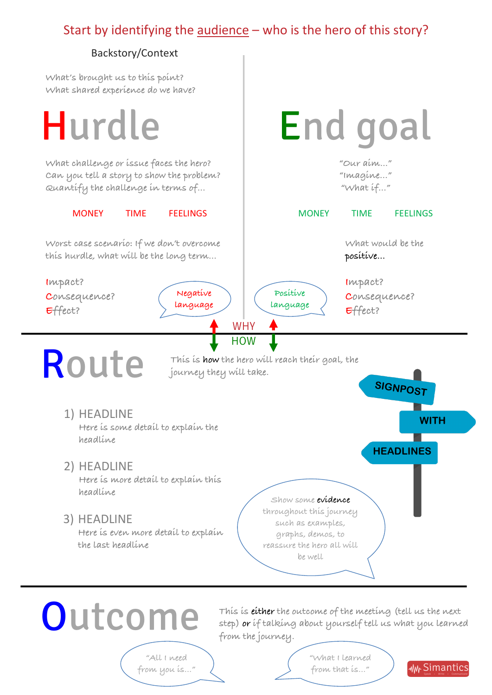## Start by identifying the audience – who is the hero of this story?

## Backstory/Context

**What's brought us to this point? What shared experience do we have?**

 WHY HOW Hurdle R oute End goal **What challenge or issue faces the hero? Can you tell a story to show the problem? Quantify the challenge in terms of…** MONEY TIME FEELINGS **Worst case scenario: If we don't overcome this hurdle, what will be the long term… Impact? Consequence? Effect? "Our aim..." "Imagine…" "What if…"** MONEY TIME FEELINGS **What would be the positive… Impact? Consequence? Effect? Negative language Positive language This is how the hero will reach their goal, the journey they will take. SIGNPOST WITH HEADLINES** 1) HEADLINE **Here is some detail to explain the headline** 2) HEADLINE **Here is more detail to explain this headline** 3) HEADLINE **Here is even more detail to explain the last headline Show some evidence throughout this journey such as examples, graphs, demos, to reassure the hero all will be well**

**Outcome** 

**This is either the outcome of the meeting (tell us the next step) or if talking about yourself tell us what you learned from the journey.**

**"All I need from you is…"** **"What I learned from that is…"**